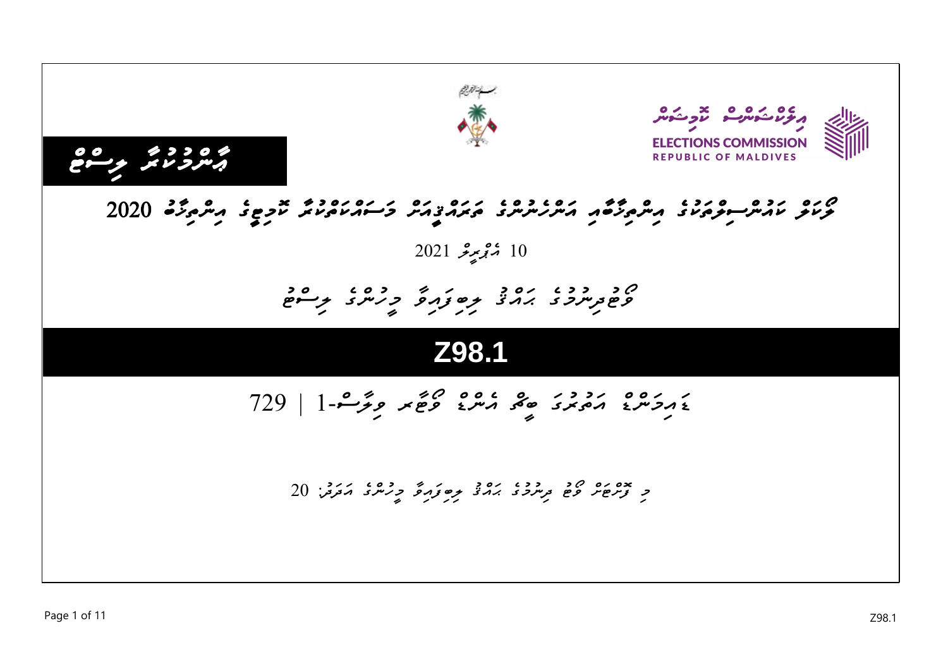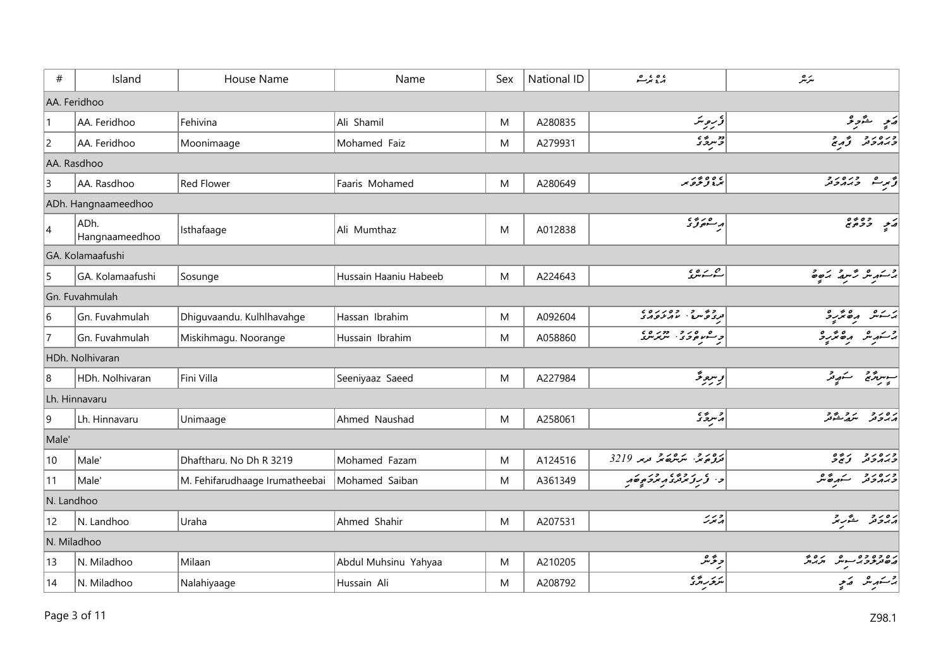| #              | Island                 | House Name                     | Name                  | Sex       | National ID | ، ه ، ره<br>مربح بمرت                                      | يترمثر                                  |
|----------------|------------------------|--------------------------------|-----------------------|-----------|-------------|------------------------------------------------------------|-----------------------------------------|
|                | AA. Feridhoo           |                                |                       |           |             |                                                            |                                         |
|                | AA. Feridhoo           | Fehivina                       | Ali Shamil            | M         | A280835     | ۇروپىر                                                     |                                         |
| $ 2\rangle$    | AA. Feridhoo           | Moonimaage                     | Mohamed Faiz          | M         | A279931     | دو سرچ ی                                                   |                                         |
|                | AA. Rasdhoo            |                                |                       |           |             |                                                            |                                         |
| 3              | AA. Rasdhoo            | <b>Red Flower</b>              | Faaris Mohamed        | ${\sf M}$ | A280649     | ، ە ە » ر<br>بر ، تو ترە بىر                               | و ره ر و<br>رنگرونر<br>ۇ بر مە          |
|                | ADh. Hangnaameedhoo    |                                |                       |           |             |                                                            |                                         |
| $\overline{4}$ | ADh.<br>Hangnaameedhoo | Isthafaage                     | Ali Mumthaz           | M         | A012838     | ە رەرى<br>مەسىمى تۈ ئ                                      | أرشح ودهوم                              |
|                | GA. Kolamaafushi       |                                |                       |           |             |                                                            |                                         |
| $\overline{5}$ | GA. Kolamaafushi       | Sosunge                        | Hussain Haaniu Habeeb | M         | A224643     | <u>م</u> مەسىرى                                            |                                         |
|                | Gn. Fuvahmulah         |                                |                       |           |             |                                                            |                                         |
| 6              | Gn. Fuvahmulah         | Dhiguvaandu. Kulhlhavahge      | Hassan Ibrahim        | M         | A092604     | و په روه ده ده ده و<br>ترن و سو <sup>ه .</sup> سه نرو پر د | ئەسكەر مەھەردى<br> -                    |
| 7              | Gn. Fuvahmulah         | Miskihmagu. Noorange           | Hussain Ibrahim       | M         | A058860     |                                                            | ج سکه شهر مصر محمد برد                  |
|                | HDh. Nolhivaran        |                                |                       |           |             |                                                            |                                         |
| 8              | HDh. Nolhivaran        | Fini Villa                     | Seeniyaaz Saeed       | M         | A227984     | و سره څه<br>ر                                              | سوسرور مسكرور                           |
|                | Lh. Hinnavaru          |                                |                       |           |             |                                                            |                                         |
| 9              | Lh. Hinnavaru          | Unimaage                       | Ahmed Naushad         | M         | A258061     | لرميري                                                     | رەرو سەرھەر                             |
| Male'          |                        |                                |                       |           |             |                                                            |                                         |
| $10\,$         | Male'                  | Dhaftharu. No Dh R 3219        | Mohamed Fazam         | M         | A124516     | رەر دېم سرس 3219 دىر                                       | وره روه دره                             |
| 11             | Male'                  | M. Fehifarudhaage Irumatheebai | Mohamed Saiban        | M         | A361349     | د . ژبرز پرتر د بر پر د پره د                              | سەرە ئىر<br>و ر ە ر و<br>ز بر بر تر تر  |
| N. Landhoo     |                        |                                |                       |           |             |                                                            |                                         |
| 12             | N. Landhoo             | Uraha                          | Ahmed Shahir          | M         | A207531     | ەرىر                                                       | رەرد شەرد<br>مەردىس شەرىر               |
| N. Miladhoo    |                        |                                |                       |           |             |                                                            |                                         |
| 13             | N. Miladhoo            | Milaan                         | Abdul Muhsinu Yahyaa  | ${\sf M}$ | A210205     | و دڅش                                                      | גם כם כם הם ב<br>גישות כביג היות וקיגות |
| 14             | N. Miladhoo            | Nalahiyaage                    | Hussain Ali           | M         | A208792     | ىر ئەرەپرى<br>سرى <i>جە بى</i> رى                          | يز سكهر شركت كركسي                      |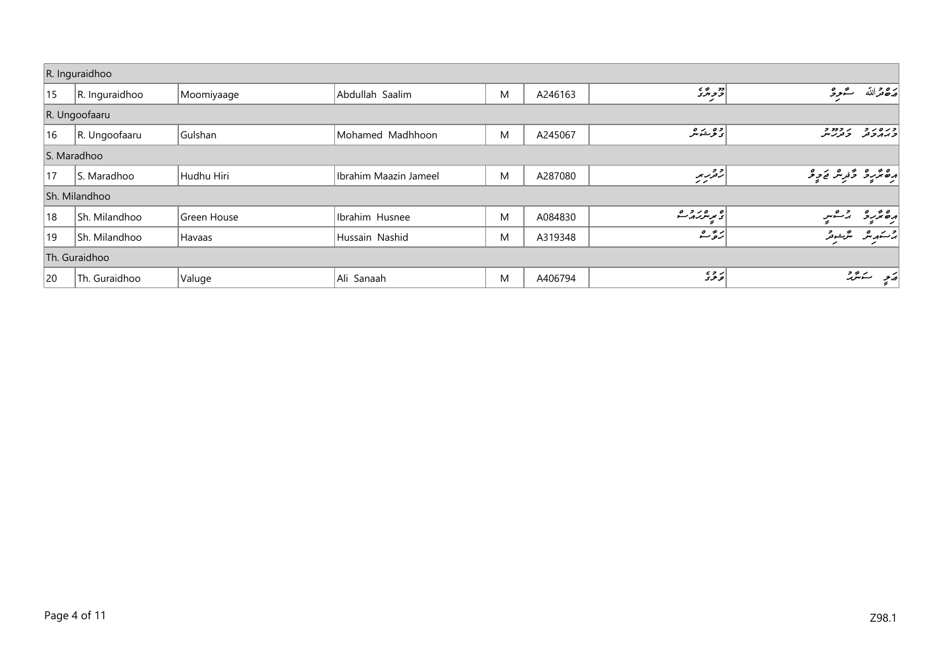|    | R. Inguraidhoo |             |                        |   |         |              |                                                  |                          |
|----|----------------|-------------|------------------------|---|---------|--------------|--------------------------------------------------|--------------------------|
| 15 | R. Inguraidhoo | Moomiyaage  | Abdullah Saalim        | M | A246163 | دو پرې       | ستكور                                            | <mark>بر صور</mark> الله |
|    | R. Ungoofaaru  |             |                        |   |         |              |                                                  |                          |
| 16 | R. Ungoofaaru  | Gulshan     | Mohamed Madhhoon       | M | A245067 | ئۇشكەنگە     | כנסנכ נכפכ<br>כ <i>ה</i> תכנ <sub>י</sub> כנקרית |                          |
|    | S. Maradhoo    |             |                        |   |         |              |                                                  |                          |
| 17 | S. Maradhoo    | Hudhu Hiri  | Ilbrahim Maazin Jameel | M | A287080 | ر<br>روزبر   | دەنگەر ئۇزىر قادىر                               |                          |
|    | Sh. Milandhoo  |             |                        |   |         |              |                                                  |                          |
| 18 | Sh. Milandhoo  | Green House | Ibrahim Husnee         | M | A084830 | د بر سر د م  | ۔۔سر                                             | لرەممەر ۋ                |
| 19 | Sh. Milandhoo  | Havaas      | Hussain Nashid         | M | A319348 | ىر پەر       |                                                  | پر کے مر مگر شونٹر       |
|    | Th. Guraidhoo  |             |                        |   |         |              |                                                  |                          |
| 20 | Th. Guraidhoo  | Valuge      | Ali Sanaah             | M | A406794 | ر و ،<br>حرن |                                                  | سەيدىر<br>ەتىر           |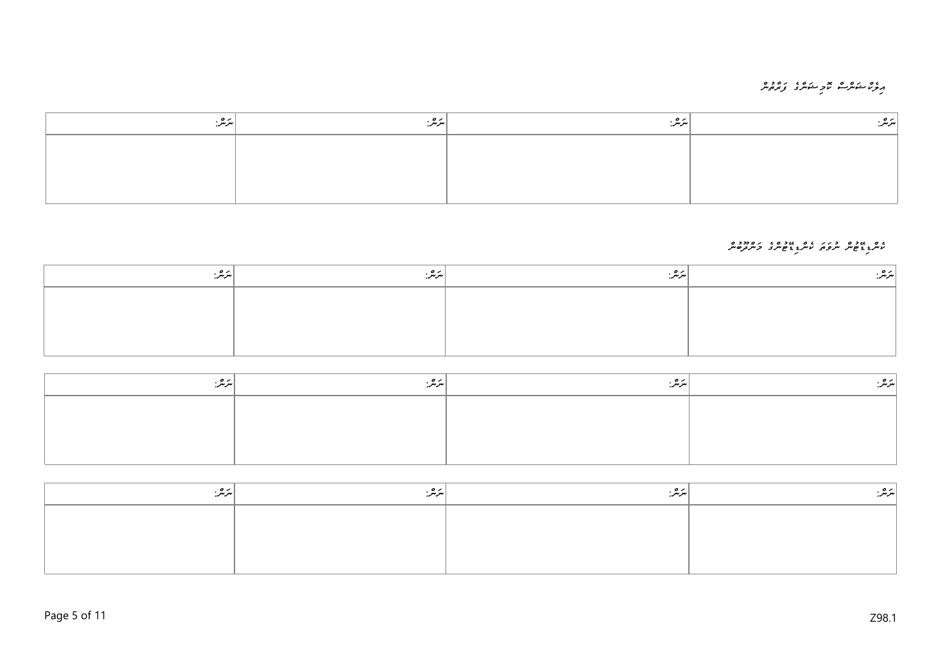## *w7qAn8m?sCw7mRo>u;wEw7mRw;sBo<*

| ' مرمر | 'يئرىثر: |
|--------|----------|
|        |          |
|        |          |
|        |          |

## *w7q9r@w7m>sCw7qHtFoFw7s;mAm=q7w7qHtFoFw7s;*

| ىر تە | $\mathcal{O} \times$<br>$\sim$ | $\sim$<br>. . | لترنثر |
|-------|--------------------------------|---------------|--------|
|       |                                |               |        |
|       |                                |               |        |
|       |                                |               |        |

| انترنثر: | $^{\circ}$ | يبرهر | $^{\circ}$<br>سرسر |
|----------|------------|-------|--------------------|
|          |            |       |                    |
|          |            |       |                    |
|          |            |       |                    |

| ' ئىرتىر: | سر سر |  |
|-----------|-------|--|
|           |       |  |
|           |       |  |
|           |       |  |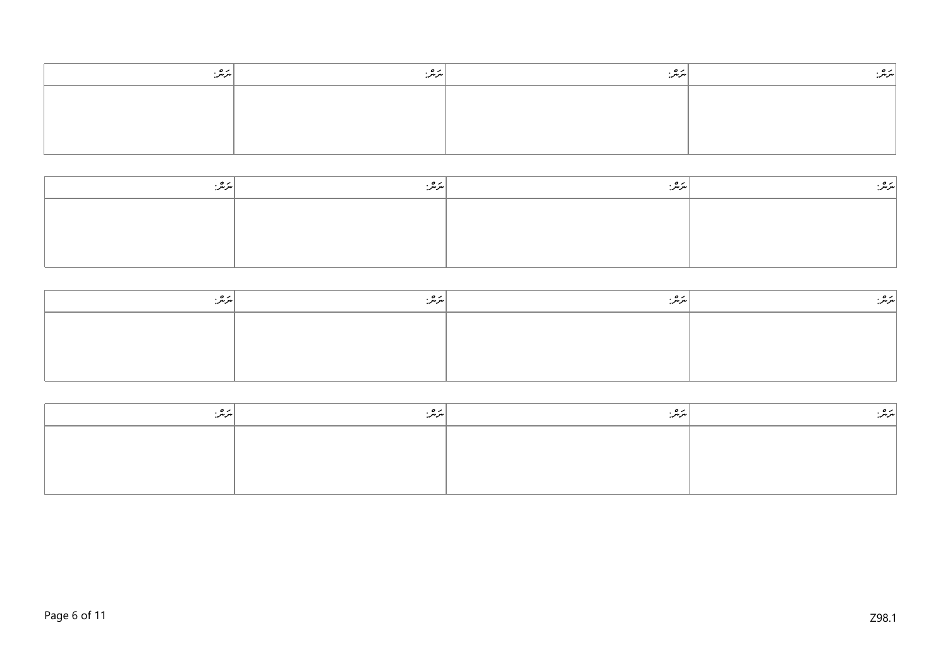| يره. | ο. | ا ير ه |  |
|------|----|--------|--|
|      |    |        |  |
|      |    |        |  |
|      |    |        |  |

| <sup>.</sup> سرسر. |  |
|--------------------|--|
|                    |  |
|                    |  |
|                    |  |

| ىئرىتر. | $\sim$ | ا بر هه. | لىرىش |
|---------|--------|----------|-------|
|         |        |          |       |
|         |        |          |       |
|         |        |          |       |

| $\overline{\phantom{a}}$<br>سرس. | ر ه<br>,,, | . . | 。<br>سرس. |
|----------------------------------|------------|-----|-----------|
|                                  |            |     |           |
|                                  |            |     |           |
|                                  |            |     |           |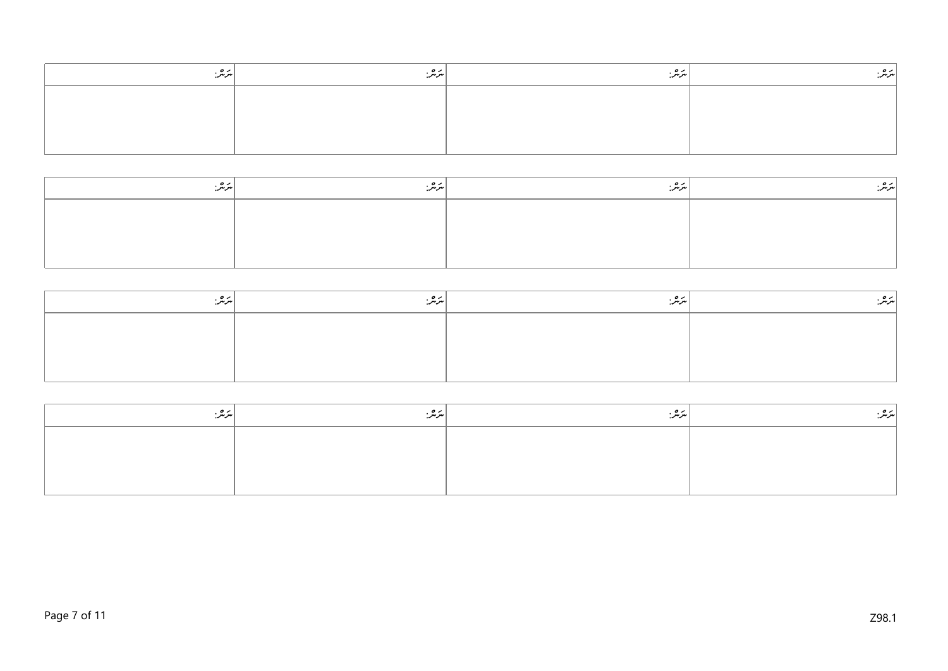| ير هو . | $\overline{\phantom{a}}$ | يرمر | اير هنه. |
|---------|--------------------------|------|----------|
|         |                          |      |          |
|         |                          |      |          |
|         |                          |      |          |

| ىبرىر. | $\sim$<br>ا سرسر . | يئرمثر | o . |
|--------|--------------------|--------|-----|
|        |                    |        |     |
|        |                    |        |     |
|        |                    |        |     |

| الترنثر: | ' مرتكز: | الترنثر: | .,<br>سرس. |
|----------|----------|----------|------------|
|          |          |          |            |
|          |          |          |            |
|          |          |          |            |

|  | . ه |
|--|-----|
|  |     |
|  |     |
|  |     |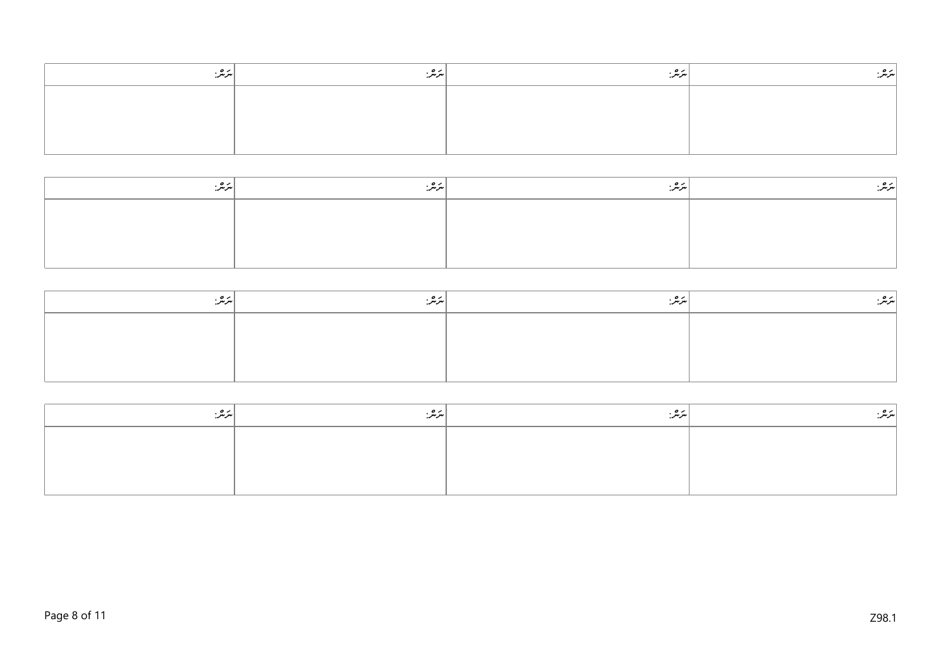| ير هو . | $\overline{\phantom{a}}$ | يرمر | اير هنه. |
|---------|--------------------------|------|----------|
|         |                          |      |          |
|         |                          |      |          |
|         |                          |      |          |

| ىبرىر. | $\sim$<br>ا سرسر . | يئرمثر | o . |
|--------|--------------------|--------|-----|
|        |                    |        |     |
|        |                    |        |     |
|        |                    |        |     |

| 'تترنثر: | 。<br>,,,, |  |
|----------|-----------|--|
|          |           |  |
|          |           |  |
|          |           |  |

|  | . ه |
|--|-----|
|  |     |
|  |     |
|  |     |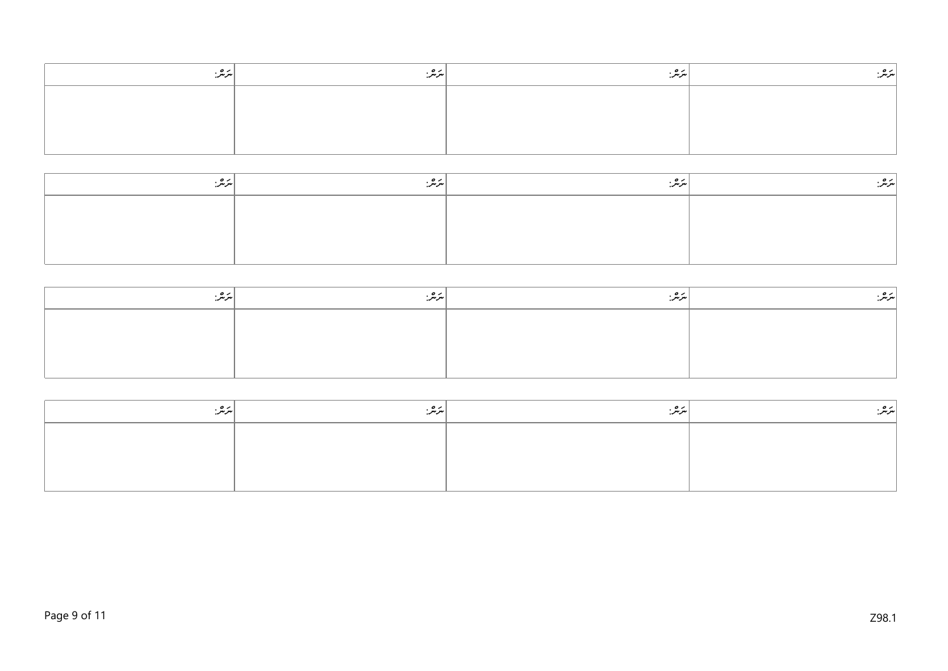| $\cdot$ | 。 | $\frac{\circ}{\cdot}$ | $\sim$<br>سرسر |
|---------|---|-----------------------|----------------|
|         |   |                       |                |
|         |   |                       |                |
|         |   |                       |                |

| يريثن | ' سرسر . |  |
|-------|----------|--|
|       |          |  |
|       |          |  |
|       |          |  |

| بر ه | 。 | $\sim$<br>َ سومس. |  |
|------|---|-------------------|--|
|      |   |                   |  |
|      |   |                   |  |
|      |   |                   |  |

| 。<br>. س | ىرىىر |  |
|----------|-------|--|
|          |       |  |
|          |       |  |
|          |       |  |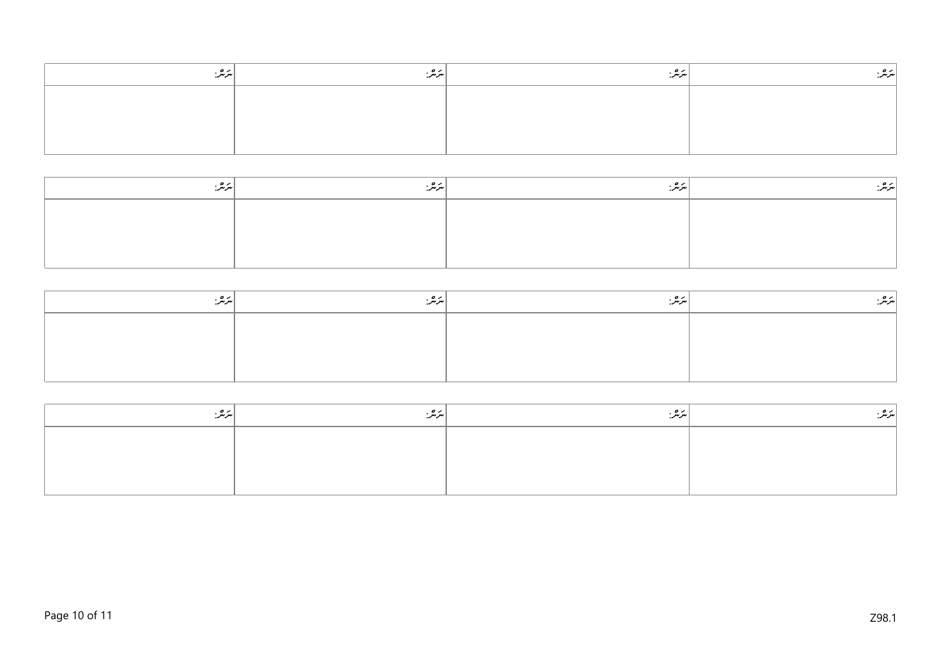| ير هو . | $\overline{\phantom{a}}$ | يرمر | اير هنه. |
|---------|--------------------------|------|----------|
|         |                          |      |          |
|         |                          |      |          |
|         |                          |      |          |

| ىبرىر. | $\sim$<br>ا سرسر . | يئرمثر | o . |
|--------|--------------------|--------|-----|
|        |                    |        |     |
|        |                    |        |     |
|        |                    |        |     |

| نتزيتر به | 。 | 。<br>سرسر. | o <i>~</i> |
|-----------|---|------------|------------|
|           |   |            |            |
|           |   |            |            |
|           |   |            |            |

|  | . ه |
|--|-----|
|  |     |
|  |     |
|  |     |